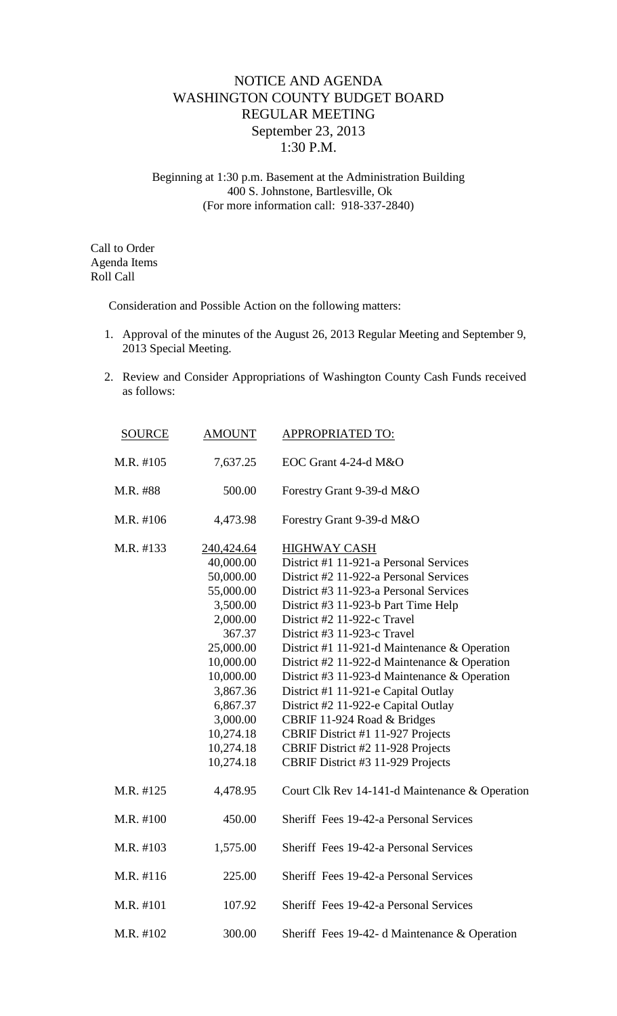## NOTICE AND AGENDA WASHINGTON COUNTY BUDGET BOARD REGULAR MEETING September 23, 2013 1:30 P.M.

Beginning at 1:30 p.m. Basement at the Administration Building 400 S. Johnstone, Bartlesville, Ok (For more information call: 918-337-2840)

Call to Order Agenda Items Roll Call

Consideration and Possible Action on the following matters:

- 1. Approval of the minutes of the August 26, 2013 Regular Meeting and September 9, 2013 Special Meeting.
- 2. Review and Consider Appropriations of Washington County Cash Funds received as follows:

| <b>SOURCE</b> | <b>AMOUNT</b>          | <b>APPROPRIATED TO:</b>                                                                      |  |
|---------------|------------------------|----------------------------------------------------------------------------------------------|--|
| M.R. #105     | 7,637.25               | EOC Grant 4-24-d M&O                                                                         |  |
| M.R. #88      | 500.00                 | Forestry Grant 9-39-d M&O                                                                    |  |
| M.R. #106     | 4,473.98               | Forestry Grant 9-39-d M&O                                                                    |  |
| M.R. #133     | 240,424.64             | <b>HIGHWAY CASH</b>                                                                          |  |
|               | 40,000.00              | District #1 11-921-a Personal Services                                                       |  |
|               | 50,000.00              | District #2 11-922-a Personal Services                                                       |  |
|               | 55,000.00              | District #3 11-923-a Personal Services                                                       |  |
|               | 3,500.00               | District #3 11-923-b Part Time Help                                                          |  |
|               | 2,000.00               | District #2 11-922-c Travel                                                                  |  |
|               | 367.37                 | District #3 11-923-c Travel                                                                  |  |
|               | 25,000.00              | District #1 11-921-d Maintenance & Operation                                                 |  |
|               | 10,000.00<br>10,000.00 | District #2 11-922-d Maintenance & Operation<br>District #3 11-923-d Maintenance & Operation |  |
|               | 3,867.36               | District #1 11-921-e Capital Outlay                                                          |  |
|               | 6,867.37               | District #2 11-922-e Capital Outlay                                                          |  |
|               | 3,000.00               | CBRIF 11-924 Road & Bridges                                                                  |  |
|               | 10,274.18              | CBRIF District #1 11-927 Projects                                                            |  |
|               | 10,274.18              | CBRIF District #2 11-928 Projects                                                            |  |
|               | 10,274.18              | CBRIF District #3 11-929 Projects                                                            |  |
|               |                        |                                                                                              |  |
| M.R. #125     | 4,478.95               | Court Clk Rev 14-141-d Maintenance & Operation                                               |  |
| M.R. #100     | 450.00                 | Sheriff Fees 19-42-a Personal Services                                                       |  |
| M.R. #103     | 1,575.00               | Sheriff Fees 19-42-a Personal Services                                                       |  |
| M.R. #116     | 225.00                 | Sheriff Fees 19-42-a Personal Services                                                       |  |
| M.R. #101     | 107.92                 | Sheriff Fees 19-42-a Personal Services                                                       |  |
| M.R. #102     | 300.00                 | Sheriff Fees 19-42- d Maintenance & Operation                                                |  |